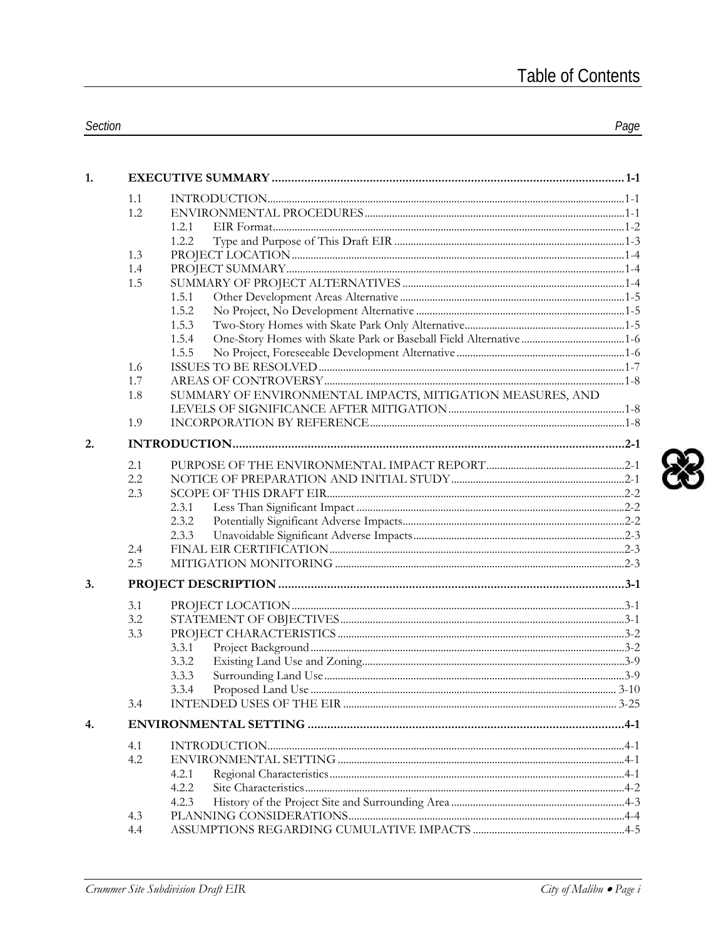| 1.1<br>1.2<br>1.2.1<br>1.2.2<br>1.3<br>1.4<br>1.5<br>1.5.1<br>1.5.2<br>1.5.3<br>1.5.4<br>1.5.5<br>1.6<br>1.7<br>SUMMARY OF ENVIRONMENTAL IMPACTS, MITIGATION MEASURES, AND<br>1.8<br>1.9<br>2.<br>2.1<br>2.2<br>2.3<br>2.3.1<br>2.3.2<br>2.3.3<br>2.4<br>2.5<br>3.<br>3.1<br>3.2<br>3.3<br>3.3.1<br>3.3.2<br>3.3.3<br>3.3.4<br>3.4<br>4.<br>4.1<br>4.2<br>4.2.1<br>4.2.2<br>4.2.3<br>4.3<br>4.4 | 1. |  |  |
|-------------------------------------------------------------------------------------------------------------------------------------------------------------------------------------------------------------------------------------------------------------------------------------------------------------------------------------------------------------------------------------------------|----|--|--|
|                                                                                                                                                                                                                                                                                                                                                                                                 |    |  |  |
|                                                                                                                                                                                                                                                                                                                                                                                                 |    |  |  |
|                                                                                                                                                                                                                                                                                                                                                                                                 |    |  |  |
|                                                                                                                                                                                                                                                                                                                                                                                                 |    |  |  |
|                                                                                                                                                                                                                                                                                                                                                                                                 |    |  |  |
|                                                                                                                                                                                                                                                                                                                                                                                                 |    |  |  |
|                                                                                                                                                                                                                                                                                                                                                                                                 |    |  |  |
|                                                                                                                                                                                                                                                                                                                                                                                                 |    |  |  |
|                                                                                                                                                                                                                                                                                                                                                                                                 |    |  |  |
|                                                                                                                                                                                                                                                                                                                                                                                                 |    |  |  |
|                                                                                                                                                                                                                                                                                                                                                                                                 |    |  |  |
|                                                                                                                                                                                                                                                                                                                                                                                                 |    |  |  |
|                                                                                                                                                                                                                                                                                                                                                                                                 |    |  |  |
|                                                                                                                                                                                                                                                                                                                                                                                                 |    |  |  |
|                                                                                                                                                                                                                                                                                                                                                                                                 |    |  |  |
|                                                                                                                                                                                                                                                                                                                                                                                                 |    |  |  |
|                                                                                                                                                                                                                                                                                                                                                                                                 |    |  |  |
|                                                                                                                                                                                                                                                                                                                                                                                                 |    |  |  |
|                                                                                                                                                                                                                                                                                                                                                                                                 |    |  |  |
|                                                                                                                                                                                                                                                                                                                                                                                                 |    |  |  |
|                                                                                                                                                                                                                                                                                                                                                                                                 |    |  |  |
|                                                                                                                                                                                                                                                                                                                                                                                                 |    |  |  |
|                                                                                                                                                                                                                                                                                                                                                                                                 |    |  |  |
|                                                                                                                                                                                                                                                                                                                                                                                                 |    |  |  |
|                                                                                                                                                                                                                                                                                                                                                                                                 |    |  |  |
|                                                                                                                                                                                                                                                                                                                                                                                                 |    |  |  |
|                                                                                                                                                                                                                                                                                                                                                                                                 |    |  |  |
|                                                                                                                                                                                                                                                                                                                                                                                                 |    |  |  |
|                                                                                                                                                                                                                                                                                                                                                                                                 |    |  |  |
|                                                                                                                                                                                                                                                                                                                                                                                                 |    |  |  |
|                                                                                                                                                                                                                                                                                                                                                                                                 |    |  |  |
|                                                                                                                                                                                                                                                                                                                                                                                                 |    |  |  |
|                                                                                                                                                                                                                                                                                                                                                                                                 |    |  |  |
|                                                                                                                                                                                                                                                                                                                                                                                                 |    |  |  |
|                                                                                                                                                                                                                                                                                                                                                                                                 |    |  |  |
|                                                                                                                                                                                                                                                                                                                                                                                                 |    |  |  |
|                                                                                                                                                                                                                                                                                                                                                                                                 |    |  |  |
|                                                                                                                                                                                                                                                                                                                                                                                                 |    |  |  |
|                                                                                                                                                                                                                                                                                                                                                                                                 |    |  |  |

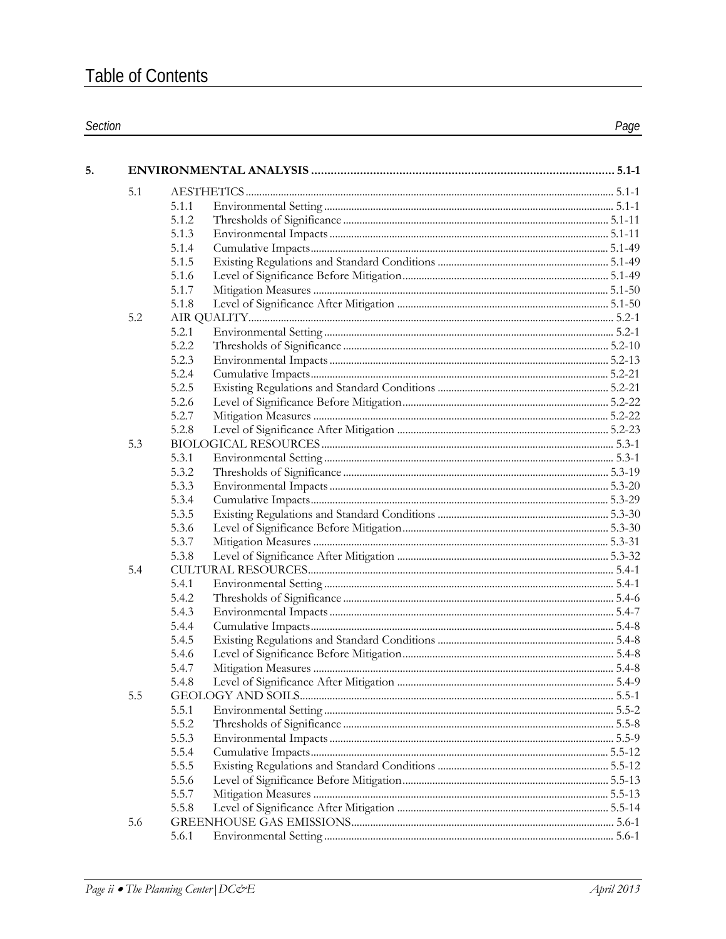$5.$ 

| $\sim$<br>Section | aae |
|-------------------|-----|
|                   |     |

| 5.1 |                |  |
|-----|----------------|--|
|     | 5.1.1          |  |
|     | 5.1.2          |  |
|     | 5.1.3          |  |
|     | 5.1.4          |  |
|     | 5.1.5          |  |
|     | 5.1.6          |  |
|     | 5.1.7          |  |
|     | 5.1.8          |  |
| 5.2 |                |  |
|     | 5.2.1          |  |
|     | 5.2.2          |  |
|     | 5.2.3          |  |
|     | 5.2.4          |  |
|     | 5.2.5          |  |
|     | 5.2.6          |  |
|     | 5.2.7          |  |
|     | 5.2.8          |  |
| 5.3 |                |  |
|     | 5.3.1          |  |
|     | 5.3.2          |  |
|     | 5.3.3          |  |
|     | 5.3.4          |  |
|     | 5.3.5          |  |
|     | 5.3.6          |  |
|     | 5.3.7          |  |
|     | 5.3.8          |  |
| 5.4 |                |  |
|     | 5.4.1          |  |
|     | 5.4.2          |  |
|     | 5.4.3          |  |
|     | 5.4.4          |  |
|     | 5.4.5          |  |
|     | 5.4.6          |  |
|     | 5.4.7          |  |
|     | 5.4.8          |  |
| 5.5 |                |  |
|     | 5.5.1          |  |
|     | 5.5.2          |  |
|     | 5.5.3          |  |
|     | 5.5.4          |  |
|     | 5.5.5          |  |
|     | 5.5.6          |  |
|     |                |  |
|     | 5.5.7<br>5.5.8 |  |
|     |                |  |
| 5.6 |                |  |
|     | 5.6.1          |  |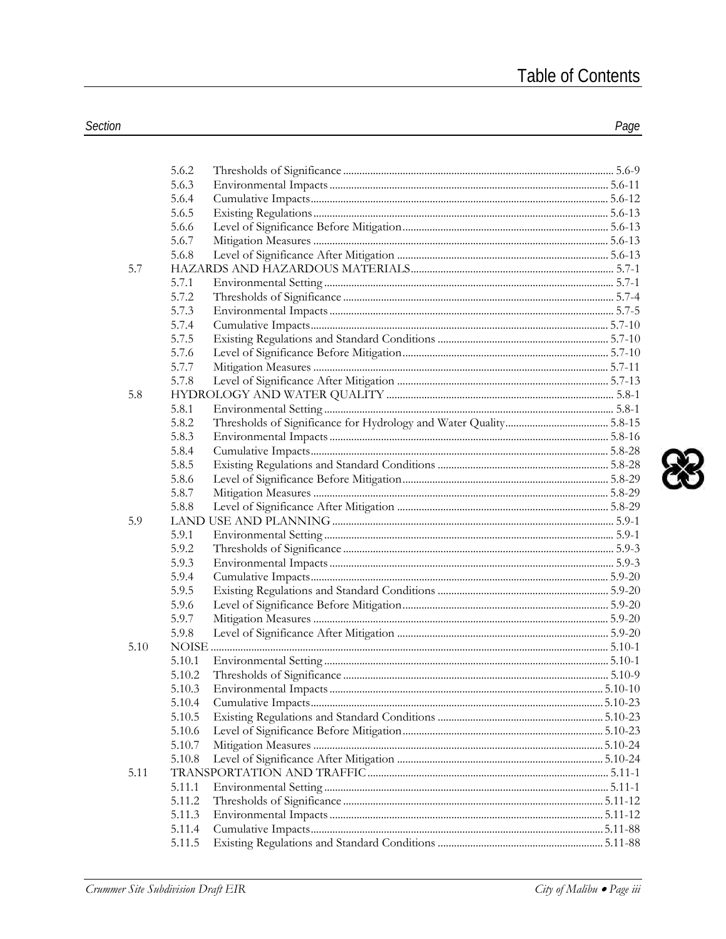| 5.6.3<br>5.6.4<br>5.6.5<br>5.6.6<br>5.6.7<br>5.6.8<br>5.7<br>5.7.1<br>5.7.2<br>5.7.3<br>5.7.4<br>5.7.5<br>5.7.6<br>5.7.7<br>5.7.8<br>5.8<br>5.8.1<br>5.8.2<br>5.8.3<br>5.8.4<br>5.8.5<br>5.8.6<br>5.8.7<br>5.8.8<br>5.9<br>5.9.1<br>5.9.2<br>5.9.3<br>5.9.4<br>5.9.5<br>5.9.6<br>5.9.7<br>5.9.8<br>5.10<br>5.10.1<br>5.10.2<br>5.10.3<br>5.10.4<br>5.10.5<br>5.10.6<br>5.10.7<br>5.10.8<br>5.11<br>5.11.1<br>5.11.2<br>5.11.3<br>5.11.4<br>5.11.5 | 5.6.2 |  |
|---------------------------------------------------------------------------------------------------------------------------------------------------------------------------------------------------------------------------------------------------------------------------------------------------------------------------------------------------------------------------------------------------------------------------------------------------|-------|--|
|                                                                                                                                                                                                                                                                                                                                                                                                                                                   |       |  |
|                                                                                                                                                                                                                                                                                                                                                                                                                                                   |       |  |
|                                                                                                                                                                                                                                                                                                                                                                                                                                                   |       |  |
|                                                                                                                                                                                                                                                                                                                                                                                                                                                   |       |  |
|                                                                                                                                                                                                                                                                                                                                                                                                                                                   |       |  |
|                                                                                                                                                                                                                                                                                                                                                                                                                                                   |       |  |
|                                                                                                                                                                                                                                                                                                                                                                                                                                                   |       |  |
|                                                                                                                                                                                                                                                                                                                                                                                                                                                   |       |  |
|                                                                                                                                                                                                                                                                                                                                                                                                                                                   |       |  |
|                                                                                                                                                                                                                                                                                                                                                                                                                                                   |       |  |
|                                                                                                                                                                                                                                                                                                                                                                                                                                                   |       |  |
|                                                                                                                                                                                                                                                                                                                                                                                                                                                   |       |  |
|                                                                                                                                                                                                                                                                                                                                                                                                                                                   |       |  |
|                                                                                                                                                                                                                                                                                                                                                                                                                                                   |       |  |
|                                                                                                                                                                                                                                                                                                                                                                                                                                                   |       |  |
|                                                                                                                                                                                                                                                                                                                                                                                                                                                   |       |  |
|                                                                                                                                                                                                                                                                                                                                                                                                                                                   |       |  |
|                                                                                                                                                                                                                                                                                                                                                                                                                                                   |       |  |
|                                                                                                                                                                                                                                                                                                                                                                                                                                                   |       |  |
|                                                                                                                                                                                                                                                                                                                                                                                                                                                   |       |  |
|                                                                                                                                                                                                                                                                                                                                                                                                                                                   |       |  |
|                                                                                                                                                                                                                                                                                                                                                                                                                                                   |       |  |
|                                                                                                                                                                                                                                                                                                                                                                                                                                                   |       |  |
|                                                                                                                                                                                                                                                                                                                                                                                                                                                   |       |  |
|                                                                                                                                                                                                                                                                                                                                                                                                                                                   |       |  |
|                                                                                                                                                                                                                                                                                                                                                                                                                                                   |       |  |
|                                                                                                                                                                                                                                                                                                                                                                                                                                                   |       |  |
|                                                                                                                                                                                                                                                                                                                                                                                                                                                   |       |  |
|                                                                                                                                                                                                                                                                                                                                                                                                                                                   |       |  |
|                                                                                                                                                                                                                                                                                                                                                                                                                                                   |       |  |
|                                                                                                                                                                                                                                                                                                                                                                                                                                                   |       |  |
|                                                                                                                                                                                                                                                                                                                                                                                                                                                   |       |  |
|                                                                                                                                                                                                                                                                                                                                                                                                                                                   |       |  |
|                                                                                                                                                                                                                                                                                                                                                                                                                                                   |       |  |
|                                                                                                                                                                                                                                                                                                                                                                                                                                                   |       |  |
|                                                                                                                                                                                                                                                                                                                                                                                                                                                   |       |  |
|                                                                                                                                                                                                                                                                                                                                                                                                                                                   |       |  |
|                                                                                                                                                                                                                                                                                                                                                                                                                                                   |       |  |
|                                                                                                                                                                                                                                                                                                                                                                                                                                                   |       |  |
|                                                                                                                                                                                                                                                                                                                                                                                                                                                   |       |  |
|                                                                                                                                                                                                                                                                                                                                                                                                                                                   |       |  |
|                                                                                                                                                                                                                                                                                                                                                                                                                                                   |       |  |
|                                                                                                                                                                                                                                                                                                                                                                                                                                                   |       |  |
|                                                                                                                                                                                                                                                                                                                                                                                                                                                   |       |  |
|                                                                                                                                                                                                                                                                                                                                                                                                                                                   |       |  |
|                                                                                                                                                                                                                                                                                                                                                                                                                                                   |       |  |
|                                                                                                                                                                                                                                                                                                                                                                                                                                                   |       |  |
|                                                                                                                                                                                                                                                                                                                                                                                                                                                   |       |  |

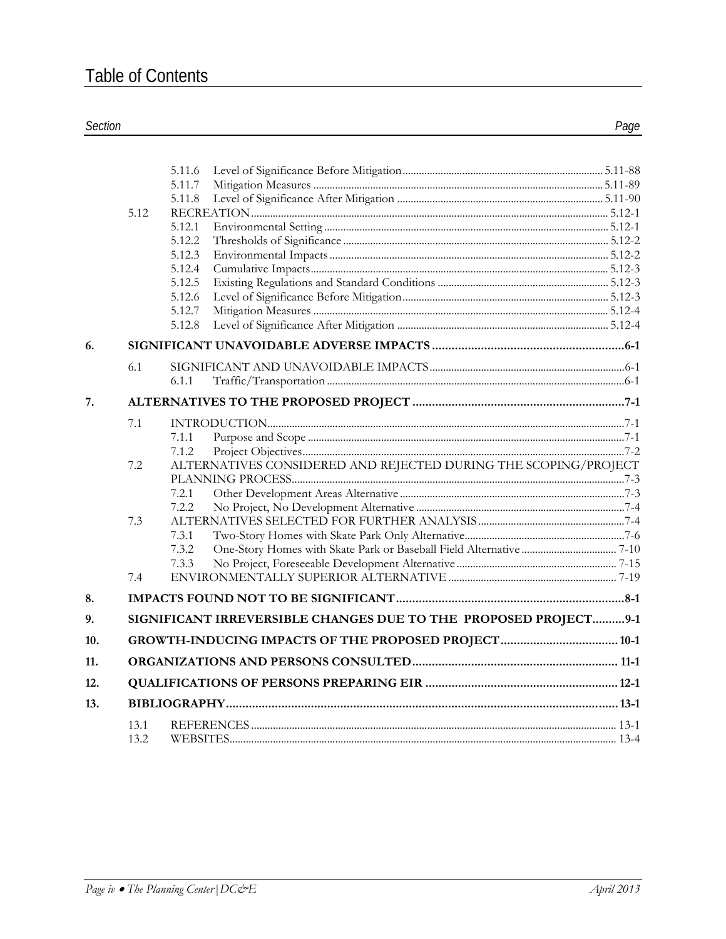## Section

|     | 5.12         | 5.11.6<br>5.11.7<br>5.11.8<br>5.12.1<br>5.12.2<br>5.12.3<br>5.12.4<br>5.12.5<br>5.12.6 |  |
|-----|--------------|----------------------------------------------------------------------------------------|--|
|     |              | 5.12.7                                                                                 |  |
|     |              | 5.12.8                                                                                 |  |
| 6.  |              |                                                                                        |  |
|     | 6.1          | 6.1.1                                                                                  |  |
| 7.  |              |                                                                                        |  |
|     |              |                                                                                        |  |
|     | 7.1          | 7.1.1                                                                                  |  |
|     |              | 7.1.2                                                                                  |  |
|     | 7.2          | ALTERNATIVES CONSIDERED AND REJECTED DURING THE SCOPING/PROJECT                        |  |
|     |              |                                                                                        |  |
|     |              | 7.2.1                                                                                  |  |
|     |              | 7.2.2                                                                                  |  |
|     | 7.3          |                                                                                        |  |
|     |              | 7.3.1<br>7.3.2                                                                         |  |
|     |              | 7.3.3                                                                                  |  |
|     | 7.4          |                                                                                        |  |
| 8.  |              |                                                                                        |  |
| 9.  |              | SIGNIFICANT IRREVERSIBLE CHANGES DUE TO THE PROPOSED PROJECT9-1                        |  |
| 10. |              |                                                                                        |  |
| 11. |              |                                                                                        |  |
|     |              |                                                                                        |  |
| 12. |              |                                                                                        |  |
| 13. |              |                                                                                        |  |
|     | 13.1<br>13.2 |                                                                                        |  |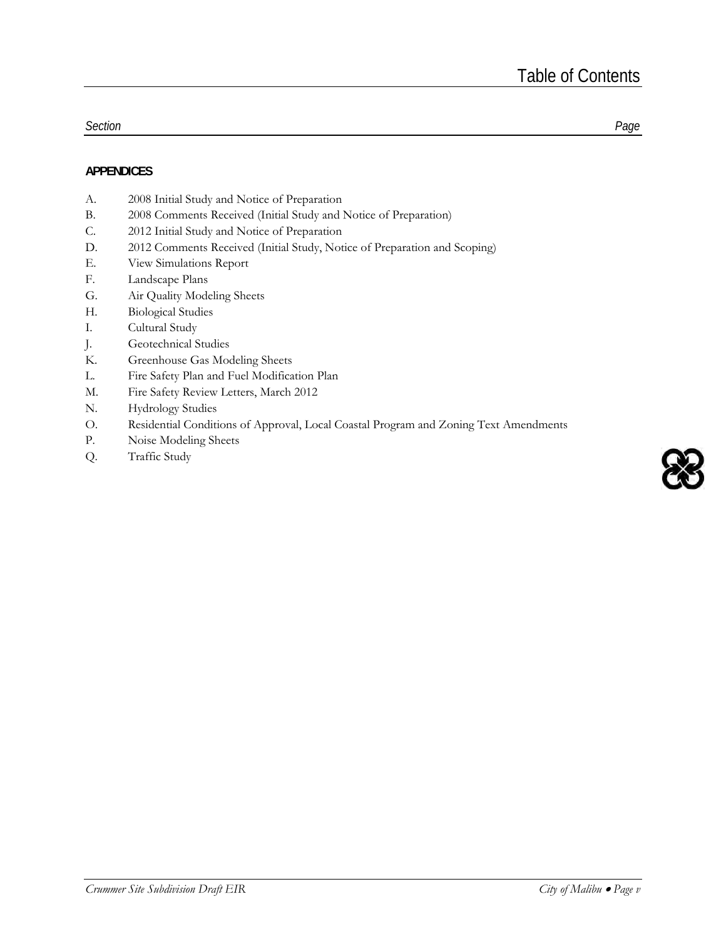#### *Section Page*

### **APPENDICES**

- A. 2008 Initial Study and Notice of Preparation
- B. 2008 Comments Received (Initial Study and Notice of Preparation)
- C. 2012 Initial Study and Notice of Preparation
- D. 2012 Comments Received (Initial Study, Notice of Preparation and Scoping)
- E. View Simulations Report
- F. Landscape Plans
- G. Air Quality Modeling Sheets
- H. Biological Studies
- I. Cultural Study
- J. Geotechnical Studies
- K. Greenhouse Gas Modeling Sheets
- L. Fire Safety Plan and Fuel Modification Plan
- M. Fire Safety Review Letters, March 2012
- N. Hydrology Studies
- O. Residential Conditions of Approval, Local Coastal Program and Zoning Text Amendments
- P. Noise Modeling Sheets
- Q. Traffic Study

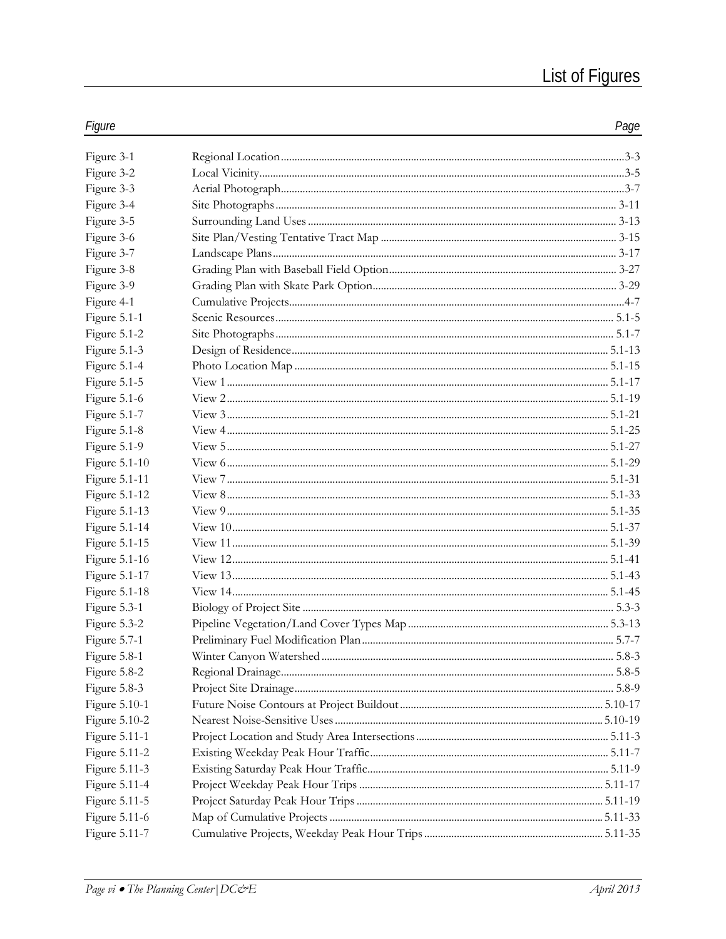| Figure               | Page |
|----------------------|------|
| Figure 3-1           |      |
| Figure 3-2           |      |
| Figure 3-3           |      |
| Figure 3-4           |      |
| Figure 3-5           |      |
| Figure 3-6           |      |
| Figure 3-7           |      |
| Figure 3-8           |      |
| Figure 3-9           |      |
| Figure 4-1           |      |
| Figure 5.1-1         |      |
| Figure 5.1-2         |      |
| Figure 5.1-3         |      |
| Figure 5.1-4         |      |
| Figure 5.1-5         |      |
| Figure 5.1-6         |      |
| Figure 5.1-7         |      |
| Figure 5.1-8         |      |
| Figure 5.1-9         |      |
| Figure 5.1-10        |      |
| Figure 5.1-11        |      |
| Figure 5.1-12        |      |
| Figure 5.1-13        |      |
| Figure 5.1-14        |      |
| Figure 5.1-15        |      |
| Figure 5.1-16        |      |
| Figure 5.1-17        |      |
| Figure 5.1-18        |      |
| Figure 5.3-1         |      |
| Figure 5.3-2         |      |
| Figure 5.7-1         |      |
| Figure 5.8-1         |      |
| Figure 5.8-2         |      |
| Figure 5.8-3         |      |
| Figure 5.10-1        |      |
| Figure 5.10-2        |      |
| Figure 5.11-1        |      |
| <b>Figure 5.11-2</b> |      |
| Figure 5.11-3        |      |
| Figure 5.11-4        |      |
| Figure 5.11-5        |      |
| Figure 5.11-6        |      |
| Figure 5.11-7        |      |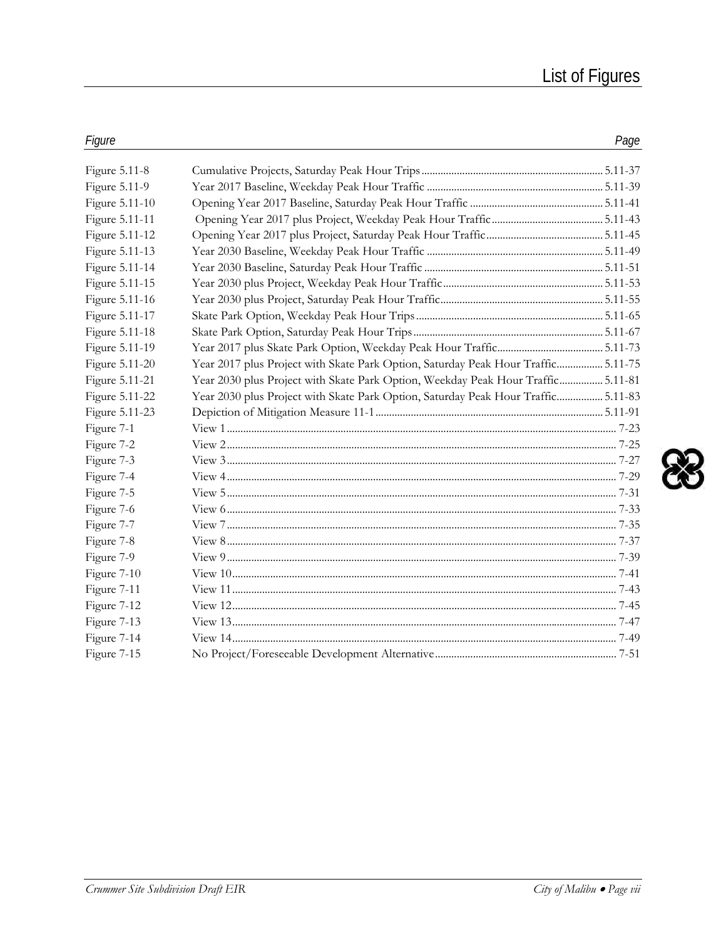| Figure         |                                                                                   | Page |
|----------------|-----------------------------------------------------------------------------------|------|
| Figure 5.11-8  |                                                                                   |      |
| Figure 5.11-9  |                                                                                   |      |
| Figure 5.11-10 |                                                                                   |      |
| Figure 5.11-11 |                                                                                   |      |
| Figure 5.11-12 |                                                                                   |      |
| Figure 5.11-13 |                                                                                   |      |
| Figure 5.11-14 |                                                                                   |      |
| Figure 5.11-15 |                                                                                   |      |
| Figure 5.11-16 |                                                                                   |      |
| Figure 5.11-17 |                                                                                   |      |
| Figure 5.11-18 |                                                                                   |      |
| Figure 5.11-19 |                                                                                   |      |
| Figure 5.11-20 | Year 2017 plus Project with Skate Park Option, Saturday Peak Hour Traffic 5.11-75 |      |
| Figure 5.11-21 | Year 2030 plus Project with Skate Park Option, Weekday Peak Hour Traffic 5.11-81  |      |
| Figure 5.11-22 | Year 2030 plus Project with Skate Park Option, Saturday Peak Hour Traffic 5.11-83 |      |
| Figure 5.11-23 |                                                                                   |      |
| Figure 7-1     |                                                                                   |      |
| Figure 7-2     |                                                                                   |      |
| Figure 7-3     |                                                                                   |      |
| Figure 7-4     |                                                                                   |      |
| Figure 7-5     |                                                                                   |      |
| Figure 7-6     |                                                                                   |      |
| Figure 7-7     |                                                                                   |      |
| Figure 7-8     |                                                                                   |      |
| Figure 7-9     |                                                                                   |      |
| Figure 7-10    |                                                                                   |      |
| Figure 7-11    |                                                                                   |      |
| Figure 7-12    |                                                                                   |      |
| Figure 7-13    |                                                                                   |      |
| Figure 7-14    |                                                                                   |      |
| Figure 7-15    |                                                                                   |      |

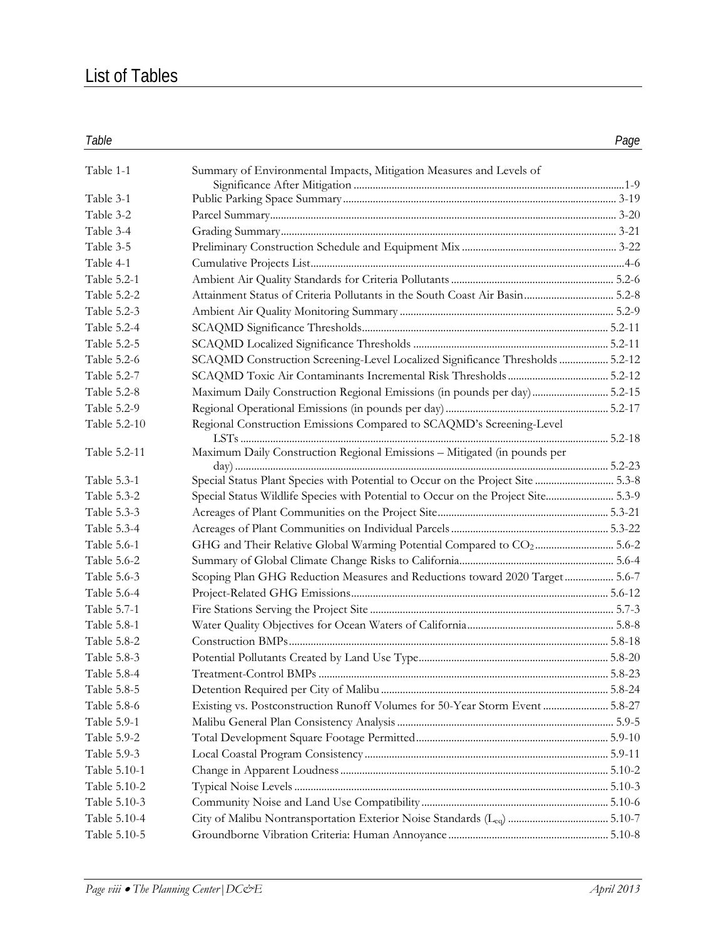# List of Tables

| Table 1-1          | Summary of Environmental Impacts, Mitigation Measures and Levels of               |  |
|--------------------|-----------------------------------------------------------------------------------|--|
| Table 3-1          |                                                                                   |  |
| Table 3-2          |                                                                                   |  |
| Table 3-4          |                                                                                   |  |
| Table 3-5          |                                                                                   |  |
| Table 4-1          |                                                                                   |  |
| Table 5.2-1        |                                                                                   |  |
| Table 5.2-2        | Attainment Status of Criteria Pollutants in the South Coast Air Basin 5.2-8       |  |
| Table 5.2-3        |                                                                                   |  |
| Table 5.2-4        |                                                                                   |  |
| Table 5.2-5        |                                                                                   |  |
| Table 5.2-6        | SCAQMD Construction Screening-Level Localized Significance Thresholds  5.2-12     |  |
| Table 5.2-7        |                                                                                   |  |
| Table 5.2-8        | Maximum Daily Construction Regional Emissions (in pounds per day)5.2-15           |  |
|                    |                                                                                   |  |
| Table 5.2-9        |                                                                                   |  |
| Table 5.2-10       | Regional Construction Emissions Compared to SCAQMD's Screening-Level              |  |
| Table 5.2-11       | Maximum Daily Construction Regional Emissions - Mitigated (in pounds per          |  |
| Table 5.3-1        | Special Status Plant Species with Potential to Occur on the Project Site  5.3-8   |  |
| Table 5.3-2        | Special Status Wildlife Species with Potential to Occur on the Project Site 5.3-9 |  |
| Table 5.3-3        |                                                                                   |  |
| Table 5.3-4        |                                                                                   |  |
| Table 5.6-1        | GHG and Their Relative Global Warming Potential Compared to CO2 5.6-2             |  |
| Table 5.6-2        |                                                                                   |  |
| Table 5.6-3        | Scoping Plan GHG Reduction Measures and Reductions toward 2020 Target  5.6-7      |  |
| Table 5.6-4        |                                                                                   |  |
| Table 5.7-1        |                                                                                   |  |
| Table 5.8-1        |                                                                                   |  |
| Table 5.8-2        |                                                                                   |  |
| Table 5.8-3        |                                                                                   |  |
| <b>Table 5.8-4</b> |                                                                                   |  |
| Table 5.8-5        |                                                                                   |  |
| Table 5.8-6        | Existing vs. Postconstruction Runoff Volumes for 50-Year Storm Event  5.8-27      |  |
| Table 5.9-1        |                                                                                   |  |
| Table 5.9-2        |                                                                                   |  |
| Table 5.9-3        |                                                                                   |  |
|                    |                                                                                   |  |
| Table 5.10-1       |                                                                                   |  |
| Table 5.10-2       |                                                                                   |  |
| Table 5.10-3       |                                                                                   |  |
| Table 5.10-4       |                                                                                   |  |
| Table 5.10-5       |                                                                                   |  |